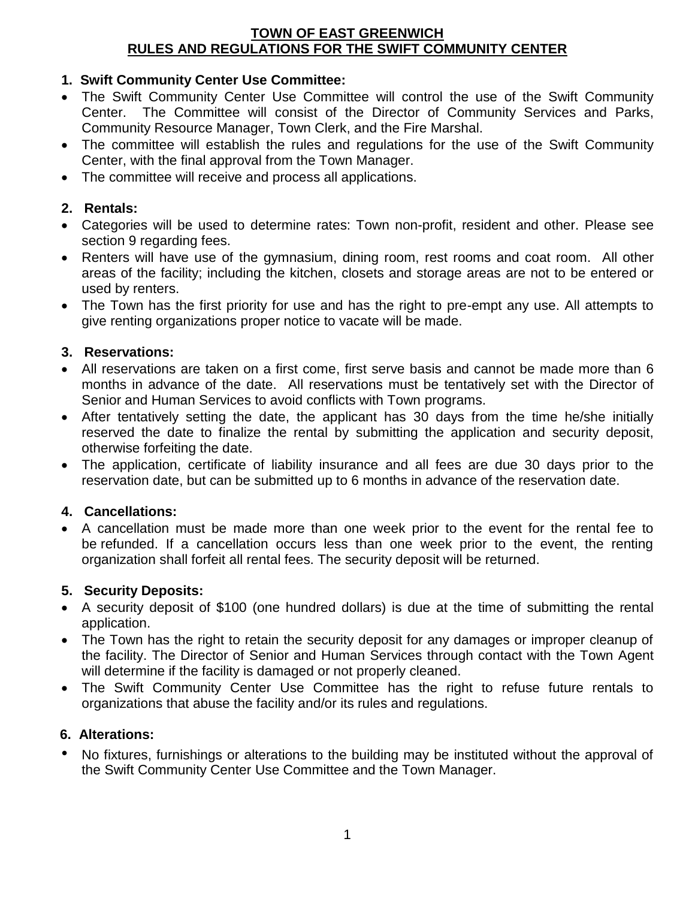### **TOWN OF EAST GREENWICH RULES AND REGULATIONS FOR THE SWIFT COMMUNITY CENTER**

# **1. Swift Community Center Use Committee:**

- The Swift Community Center Use Committee will control the use of the Swift Community Center. The Committee will consist of the Director of Community Services and Parks, Community Resource Manager, Town Clerk, and the Fire Marshal.
- The committee will establish the rules and regulations for the use of the Swift Community Center, with the final approval from the Town Manager.
- The committee will receive and process all applications.

## **2. Rentals:**

- Categories will be used to determine rates: Town non-profit, resident and other. Please see section 9 regarding fees.
- Renters will have use of the gymnasium, dining room, rest rooms and coat room. All other areas of the facility; including the kitchen, closets and storage areas are not to be entered or used by renters.
- The Town has the first priority for use and has the right to pre-empt any use. All attempts to give renting organizations proper notice to vacate will be made.

### **3. Reservations:**

- All reservations are taken on a first come, first serve basis and cannot be made more than 6 months in advance of the date. All reservations must be tentatively set with the Director of Senior and Human Services to avoid conflicts with Town programs.
- After tentatively setting the date, the applicant has 30 days from the time he/she initially reserved the date to finalize the rental by submitting the application and security deposit, otherwise forfeiting the date.
- The application, certificate of liability insurance and all fees are due 30 days prior to the reservation date, but can be submitted up to 6 months in advance of the reservation date.

## **4. Cancellations:**

 A cancellation must be made more than one week prior to the event for the rental fee to be refunded. If a cancellation occurs less than one week prior to the event, the renting organization shall forfeit all rental fees. The security deposit will be returned.

#### **5. Security Deposits:**

- A security deposit of \$100 (one hundred dollars) is due at the time of submitting the rental application.
- The Town has the right to retain the security deposit for any damages or improper cleanup of the facility. The Director of Senior and Human Services through contact with the Town Agent will determine if the facility is damaged or not properly cleaned.
- The Swift Community Center Use Committee has the right to refuse future rentals to organizations that abuse the facility and/or its rules and regulations.

## **6. Alterations:**

• No fixtures, furnishings or alterations to the building may be instituted without the approval of the Swift Community Center Use Committee and the Town Manager.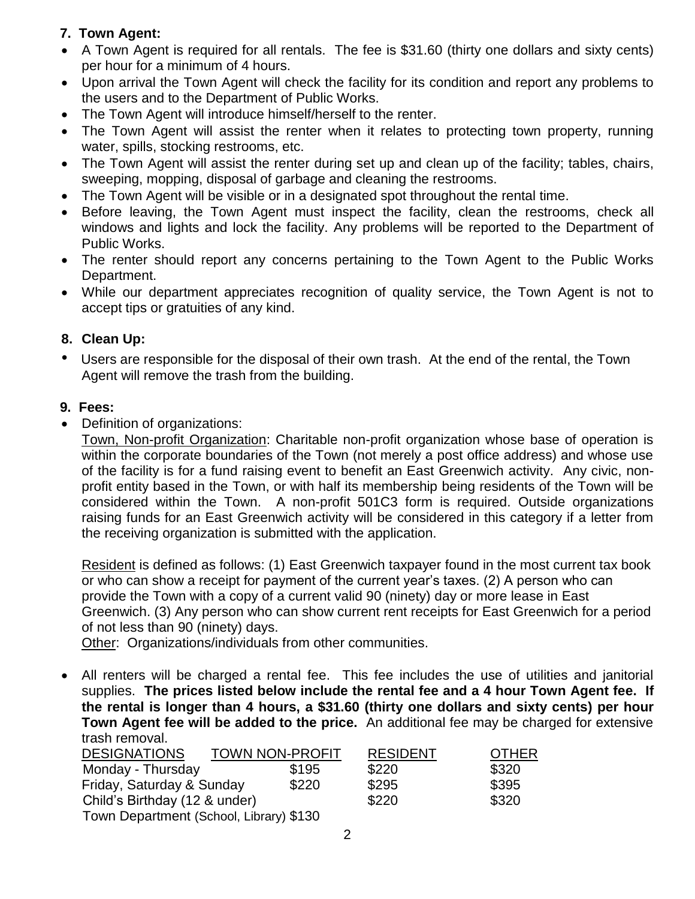# **7. Town Agent:**

- A Town Agent is required for all rentals. The fee is \$31.60 (thirty one dollars and sixty cents) per hour for a minimum of 4 hours.
- Upon arrival the Town Agent will check the facility for its condition and report any problems to the users and to the Department of Public Works.
- The Town Agent will introduce himself/herself to the renter.
- The Town Agent will assist the renter when it relates to protecting town property, running water, spills, stocking restrooms, etc.
- The Town Agent will assist the renter during set up and clean up of the facility; tables, chairs, sweeping, mopping, disposal of garbage and cleaning the restrooms.
- The Town Agent will be visible or in a designated spot throughout the rental time.
- Before leaving, the Town Agent must inspect the facility, clean the restrooms, check all windows and lights and lock the facility. Any problems will be reported to the Department of Public Works.
- The renter should report any concerns pertaining to the Town Agent to the Public Works Department.
- While our department appreciates recognition of quality service, the Town Agent is not to accept tips or gratuities of any kind.

# **8. Clean Up:**

• Users are responsible for the disposal of their own trash. At the end of the rental, the Town Agent will remove the trash from the building.

# **9. Fees:**

• Definition of organizations:

Town, Non-profit Organization: Charitable non-profit organization whose base of operation is within the corporate boundaries of the Town (not merely a post office address) and whose use of the facility is for a fund raising event to benefit an East Greenwich activity. Any civic, nonprofit entity based in the Town, or with half its membership being residents of the Town will be considered within the Town. A non-profit 501C3 form is required. Outside organizations raising funds for an East Greenwich activity will be considered in this category if a letter from the receiving organization is submitted with the application.

Resident is defined as follows: (1) East Greenwich taxpayer found in the most current tax book or who can show a receipt for payment of the current year's taxes. (2) A person who can provide the Town with a copy of a current valid 90 (ninety) day or more lease in East Greenwich. (3) Any person who can show current rent receipts for East Greenwich for a period of not less than 90 (ninety) days.

Other: Organizations/individuals from other communities.

 All renters will be charged a rental fee. This fee includes the use of utilities and janitorial supplies. **The prices listed below include the rental fee and a 4 hour Town Agent fee. If the rental is longer than 4 hours, a \$31.60 (thirty one dollars and sixty cents) per hour Town Agent fee will be added to the price.** An additional fee may be charged for extensive trash removal.

| <b>DESIGNATIONS</b>                     | <b>TOWN NON-PROFIT</b> | <b>RESIDENT</b> | <b>OTHER</b> |
|-----------------------------------------|------------------------|-----------------|--------------|
| Monday - Thursday                       | \$195                  | \$220           | \$320        |
| Friday, Saturday & Sunday               | \$220                  | \$295           | \$395        |
| Child's Birthday (12 & under)           |                        | \$220           | \$320        |
| Town Department (School, Library) \$130 |                        |                 |              |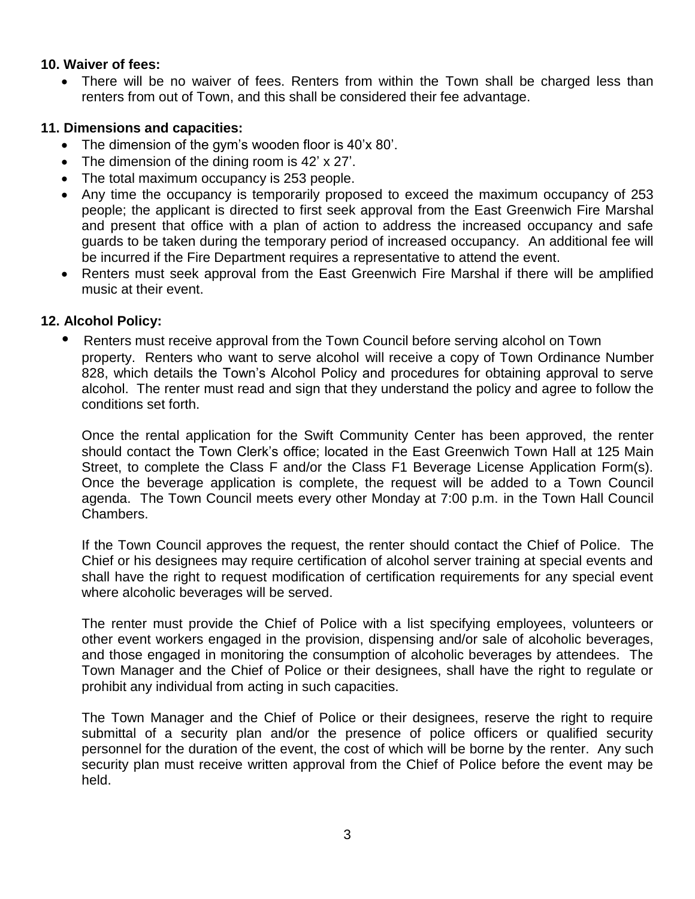#### **10. Waiver of fees:**

• There will be no waiver of fees. Renters from within the Town shall be charged less than renters from out of Town, and this shall be considered their fee advantage.

### **11. Dimensions and capacities:**

- The dimension of the gym's wooden floor is 40'x 80'.
- The dimension of the dining room is 42' x 27'.
- The total maximum occupancy is 253 people.
- Any time the occupancy is temporarily proposed to exceed the maximum occupancy of 253 people; the applicant is directed to first seek approval from the East Greenwich Fire Marshal and present that office with a plan of action to address the increased occupancy and safe guards to be taken during the temporary period of increased occupancy. An additional fee will be incurred if the Fire Department requires a representative to attend the event.
- Renters must seek approval from the East Greenwich Fire Marshal if there will be amplified music at their event.

#### **12. Alcohol Policy:**

**•** Renters must receive approval from the Town Council before serving alcohol on Town property. Renters who want to serve alcohol will receive a copy of Town Ordinance Number 828, which details the Town's Alcohol Policy and procedures for obtaining approval to serve alcohol. The renter must read and sign that they understand the policy and agree to follow the conditions set forth.

Once the rental application for the Swift Community Center has been approved, the renter should contact the Town Clerk's office; located in the East Greenwich Town Hall at 125 Main Street, to complete the Class F and/or the Class F1 Beverage License Application Form(s). Once the beverage application is complete, the request will be added to a Town Council agenda. The Town Council meets every other Monday at 7:00 p.m. in the Town Hall Council Chambers.

If the Town Council approves the request, the renter should contact the Chief of Police. The Chief or his designees may require certification of alcohol server training at special events and shall have the right to request modification of certification requirements for any special event where alcoholic beverages will be served.

The renter must provide the Chief of Police with a list specifying employees, volunteers or other event workers engaged in the provision, dispensing and/or sale of alcoholic beverages, and those engaged in monitoring the consumption of alcoholic beverages by attendees. The Town Manager and the Chief of Police or their designees, shall have the right to regulate or prohibit any individual from acting in such capacities.

The Town Manager and the Chief of Police or their designees, reserve the right to require submittal of a security plan and/or the presence of police officers or qualified security personnel for the duration of the event, the cost of which will be borne by the renter. Any such security plan must receive written approval from the Chief of Police before the event may be held.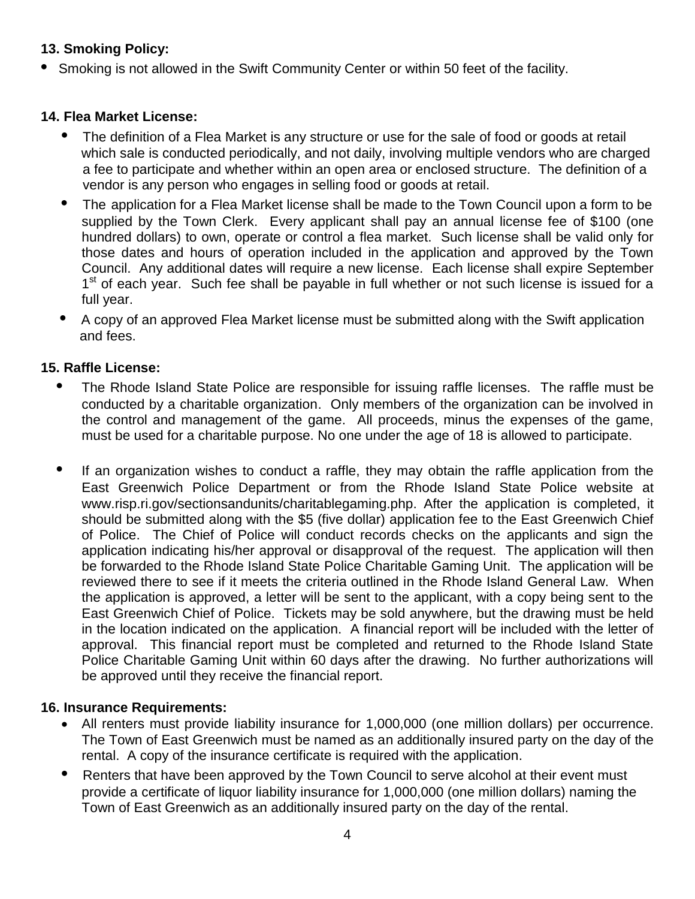# **13. Smoking Policy:**

**•** Smoking is not allowed in the Swift Community Center or within 50 feet of the facility.

## **14. Flea Market License:**

- The definition of a Flea Market is any structure or use for the sale of food or goods at retail which sale is conducted periodically, and not daily, involving multiple vendors who are charged a fee to participate and whether within an open area or enclosed structure. The definition of a vendor is any person who engages in selling food or goods at retail.
- The application for a Flea Market license shall be made to the Town Council upon a form to be supplied by the Town Clerk. Every applicant shall pay an annual license fee of \$100 (one hundred dollars) to own, operate or control a flea market. Such license shall be valid only for those dates and hours of operation included in the application and approved by the Town Council. Any additional dates will require a new license. Each license shall expire September 1<sup>st</sup> of each year. Such fee shall be payable in full whether or not such license is issued for a full year.
- A copy of an approved Flea Market license must be submitted along with the Swift application and fees.

## **15. Raffle License:**

- **•** The Rhode Island State Police are responsible for issuing raffle licenses. The raffle must be conducted by a charitable organization. Only members of the organization can be involved in the control and management of the game. All proceeds, minus the expenses of the game, must be used for a charitable purpose. No one under the age of 18 is allowed to participate.
- If an organization wishes to conduct a raffle, they may obtain the raffle application from the East Greenwich Police Department or from the Rhode Island State Police website at www.risp.ri.gov/sectionsandunits/charitablegaming.php. After the application is completed, it should be submitted along with the \$5 (five dollar) application fee to the East Greenwich Chief of Police. The Chief of Police will conduct records checks on the applicants and sign the application indicating his/her approval or disapproval of the request. The application will then be forwarded to the Rhode Island State Police Charitable Gaming Unit. The application will be reviewed there to see if it meets the criteria outlined in the Rhode Island General Law. When the application is approved, a letter will be sent to the applicant, with a copy being sent to the East Greenwich Chief of Police. Tickets may be sold anywhere, but the drawing must be held in the location indicated on the application. A financial report will be included with the letter of approval. This financial report must be completed and returned to the Rhode Island State Police Charitable Gaming Unit within 60 days after the drawing. No further authorizations will be approved until they receive the financial report.

## **16. Insurance Requirements:**

- All renters must provide liability insurance for 1,000,000 (one million dollars) per occurrence. The Town of East Greenwich must be named as an additionally insured party on the day of the rental. A copy of the insurance certificate is required with the application.
- Renters that have been approved by the Town Council to serve alcohol at their event must provide a certificate of liquor liability insurance for 1,000,000 (one million dollars) naming the Town of East Greenwich as an additionally insured party on the day of the rental.